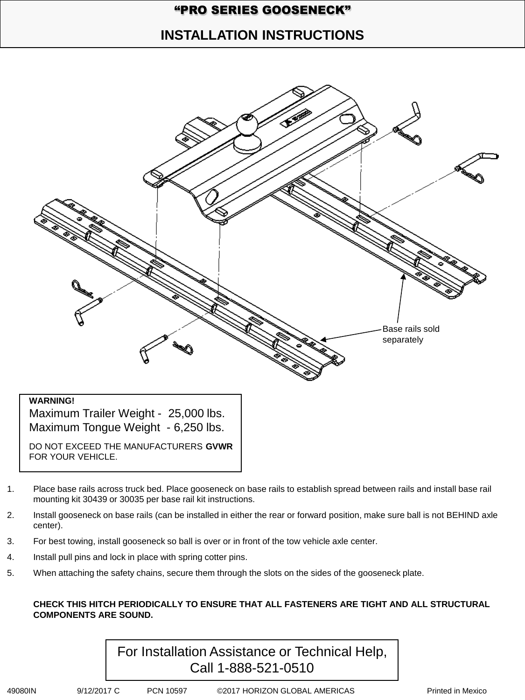## "PRO SERIES GOOSENECK"

## **INSTALLATION INSTRUCTIONS**



### **WARNING!**

Maximum Trailer Weight - 25,000 lbs. Maximum Tongue Weight - 6,250 lbs.

DO NOT EXCEED THE MANUFACTURERS **GVWR** FOR YOUR VEHICLE.

- 1. Place base rails across truck bed. Place gooseneck on base rails to establish spread between rails and install base rail mounting kit 30439 or 30035 per base rail kit instructions.
- 2. Install gooseneck on base rails (can be installed in either the rear or forward position, make sure ball is not BEHIND axle center).
- 3. For best towing, install gooseneck so ball is over or in front of the tow vehicle axle center.
- 4. Install pull pins and lock in place with spring cotter pins.
- 5. When attaching the safety chains, secure them through the slots on the sides of the gooseneck plate.

#### **CHECK THIS HITCH PERIODICALLY TO ENSURE THAT ALL FASTENERS ARE TIGHT AND ALL STRUCTURAL COMPONENTS ARE SOUND.**

![](_page_0_Picture_12.jpeg)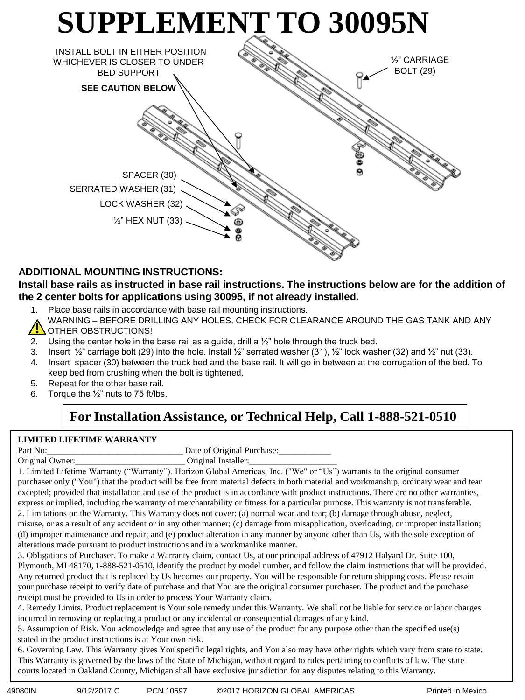![](_page_1_Figure_0.jpeg)

### **ADDITIONAL MOUNTING INSTRUCTIONS:**

### **Install base rails as instructed in base rail instructions. The instructions below are for the addition of the 2 center bolts for applications using 30095, if not already installed.**

- 1. Place base rails in accordance with base rail mounting instructions.
- WARNING BEFORE DRILLING ANY HOLES, CHECK FOR CLEARANCE AROUND THE GAS TANK AND ANY OTHER OBSTRUCTIONS!
- 2. Using the center hole in the base rail as a guide, drill a  $\frac{1}{2}$ " hole through the truck bed.
- 3. Insert  $\frac{1}{2}$  carriage bolt (29) into the hole. Install  $\frac{1}{2}$  serrated washer (31),  $\frac{1}{2}$  lock washer (32) and  $\frac{1}{2}$  nut (33).
- 4. Insert spacer (30) between the truck bed and the base rail. It will go in between at the corrugation of the bed. To keep bed from crushing when the bolt is tightened.
- 5. Repeat for the other base rail.
- 6. Torque the  $\frac{1}{2}$ " nuts to 75 ft/lbs.

## **For Installation Assistance, or Technical Help, Call 1-888-521-0510**

### **LIMITED LIFETIME WARRANTY**

| Part No: | Date of Original Purchase: |
|----------|----------------------------|
|----------|----------------------------|

Original Owner: \_\_\_\_\_\_\_\_\_\_\_\_\_\_\_\_\_\_\_\_\_\_\_\_\_\_\_\_\_\_\_\_\_\_Original Installer:

1. Limited Lifetime Warranty ("Warranty"). Horizon Global Americas, Inc. ("We" or "Us") warrants to the original consumer purchaser only ("You") that the product will be free from material defects in both material and workmanship, ordinary wear and tear excepted; provided that installation and use of the product is in accordance with product instructions. There are no other warranties, express or implied, including the warranty of merchantability or fitness for a particular purpose. This warranty is not transferable. 2. Limitations on the Warranty. This Warranty does not cover: (a) normal wear and tear; (b) damage through abuse, neglect, misuse, or as a result of any accident or in any other manner; (c) damage from misapplication, overloading, or improper installation; (d) improper maintenance and repair; and (e) product alteration in any manner by anyone other than Us, with the sole exception of alterations made pursuant to product instructions and in a workmanlike manner.

3. Obligations of Purchaser. To make a Warranty claim, contact Us, at our principal address of 47912 Halyard Dr. Suite 100, Plymouth, MI 48170, 1-888-521-0510, identify the product by model number, and follow the claim instructions that will be provided. Any returned product that is replaced by Us becomes our property. You will be responsible for return shipping costs. Please retain your purchase receipt to verify date of purchase and that You are the original consumer purchaser. The product and the purchase receipt must be provided to Us in order to process Your Warranty claim.

4. Remedy Limits. Product replacement is Your sole remedy under this Warranty. We shall not be liable for service or labor charges incurred in removing or replacing a product or any incidental or consequential damages of any kind.

5. Assumption of Risk. You acknowledge and agree that any use of the product for any purpose other than the specified use(s) stated in the product instructions is at Your own risk.

6. Governing Law. This Warranty gives You specific legal rights, and You also may have other rights which vary from state to state. This Warranty is governed by the laws of the State of Michigan, without regard to rules pertaining to conflicts of law. The state courts located in Oakland County, Michigan shall have exclusive jurisdiction for any disputes relating to this Warranty.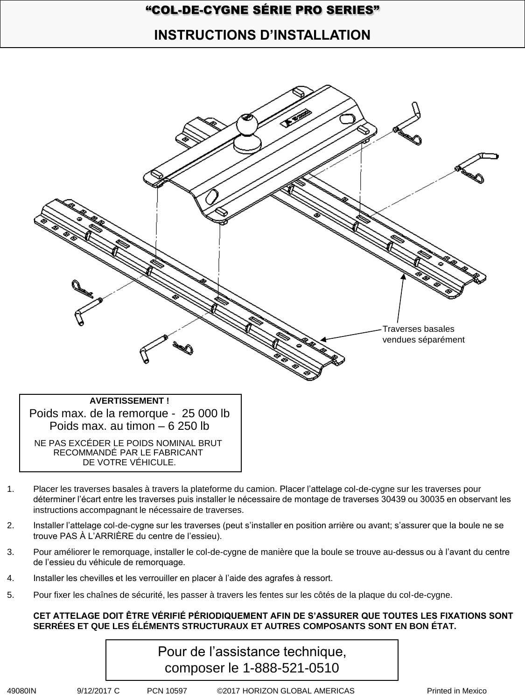## "COL-DE-CYGNE SÉRIE PRO SERIES"

# **INSTRUCTIONS D'INSTALLATION**

![](_page_2_Figure_2.jpeg)

- 1. Placer les traverses basales à travers la plateforme du camion. Placer l'attelage col-de-cygne sur les traverses pour déterminer l'écart entre les traverses puis installer le nécessaire de montage de traverses 30439 ou 30035 en observant les instructions accompagnant le nécessaire de traverses.
- 2. Installer l'attelage col-de-cygne sur les traverses (peut s'installer en position arrière ou avant; s'assurer que la boule ne se trouve PAS À L'ARRIÈRE du centre de l'essieu).
- 3. Pour améliorer le remorquage, installer le col-de-cygne de manière que la boule se trouve au-dessus ou à l'avant du centre de l'essieu du véhicule de remorquage.
- 4. Installer les chevilles et les verrouiller en placer à l'aide des agrafes à ressort.
- 5. Pour fixer les chaînes de sécurité, les passer à travers les fentes sur les côtés de la plaque du col-de-cygne.

### **CET ATTELAGE DOIT ÊTRE VÉRIFIÉ PÉRIODIQUEMENT AFIN DE S'ASSURER QUE TOUTES LES FIXATIONS SONT SERRÉES ET QUE LES ÉLÉMENTS STRUCTURAUX ET AUTRES COMPOSANTS SONT EN BON ÉTAT.**

| Pour de l'assistance technique, |  |
|---------------------------------|--|
| composer le 1-888-521-0510      |  |

49080IN 9/12/2017 C PCN 10597 ©2017 HORIZON GLOBAL AMERICAS Printed in Mexico